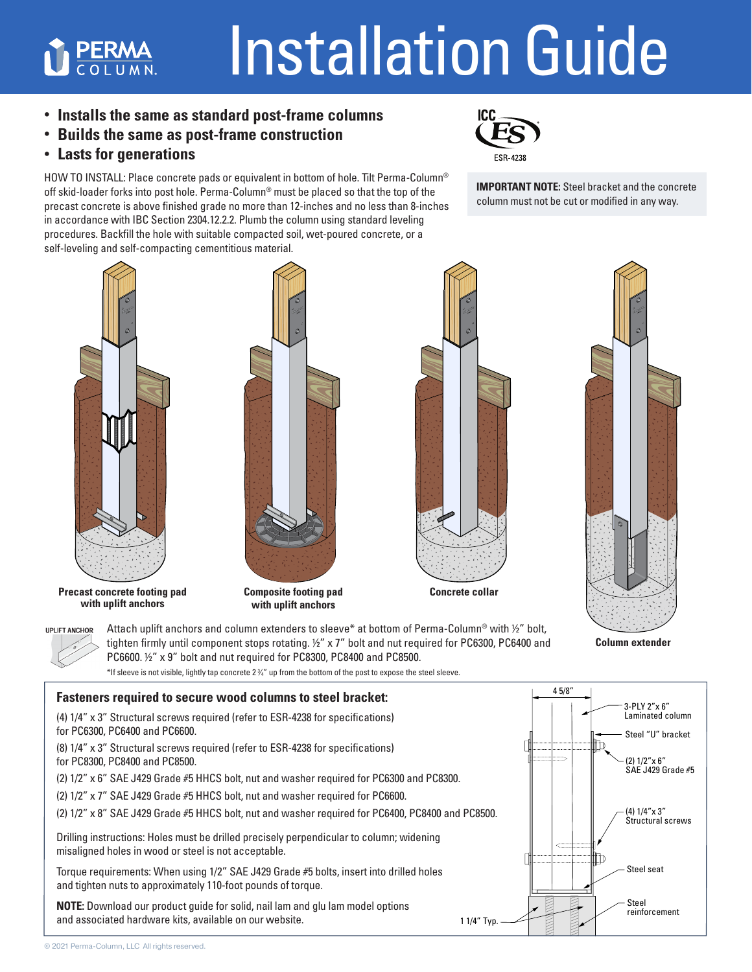## Installation Guide

**• Installs the same as standard post-frame columns**

- **Builds the same as post-frame construction**
- **Lasts for generations**

**PERMA** 

HOW TO INSTALL: Place concrete pads or equivalent in bottom of hole. Tilt Perma-Column<sup>®</sup> off skid-loader forks into post hole. Perma-Column® must be placed so that the top of the precast concrete is above finished grade no more than 12-inches and no less than 8-inches in accordance with IBC Section 2304.12.2.2. Plumb the column using standard leveling procedures. Backfill the hole with suitable compacted soil, wet-poured concrete, or a self-leveling and self-compacting cementitious material.



**IMPORTANT NOTE:** Steel bracket and the concrete column must not be cut or modified in any way.



**Precast concrete footing pad with uplift anchors**

**UPLIFT ANCHOR** 



**Composite footing pad with uplift anchors**

Attach uplift anchors and column extenders to sleeve\* at bottom of Perma-Column® with ½" bolt, tighten firmly until component stops rotating.  $1/2$ " x 7" bolt and nut required for PC6300, PC6400 and





**Column extender**